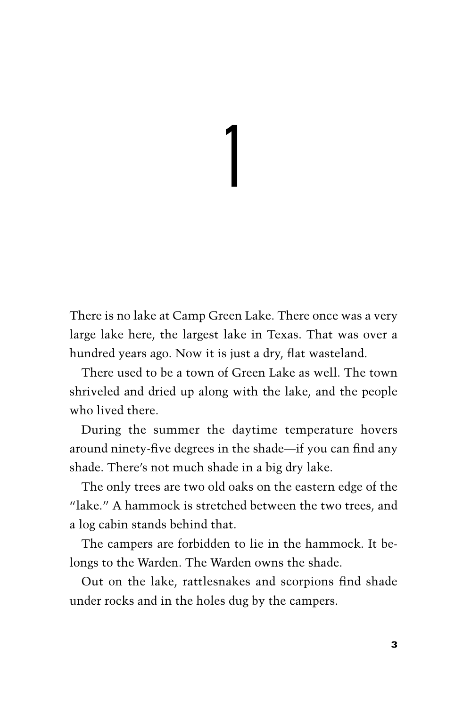1

There is no lake at Camp Green Lake. There once was a very large lake here, the largest lake in Texas. That was over a hundred years ago. Now it is just a dry, flat wasteland.

There used to be a town of Green Lake as well. The town shriveled and dried up along with the lake, and the people who lived there.

During the summer the daytime temperature hovers around ninety-five degrees in the shade—if you can find any shade. There's not much shade in a big dry lake.

The only trees are two old oaks on the eastern edge of the "lake." A hammock is stretched between the two trees, and a log cabin stands behind that.

The campers are forbidden to lie in the hammock. It belongs to the Warden. The Warden owns the shade.

Out on the lake, rattlesnakes and scorpions find shade under rocks and in the holes dug by the campers.